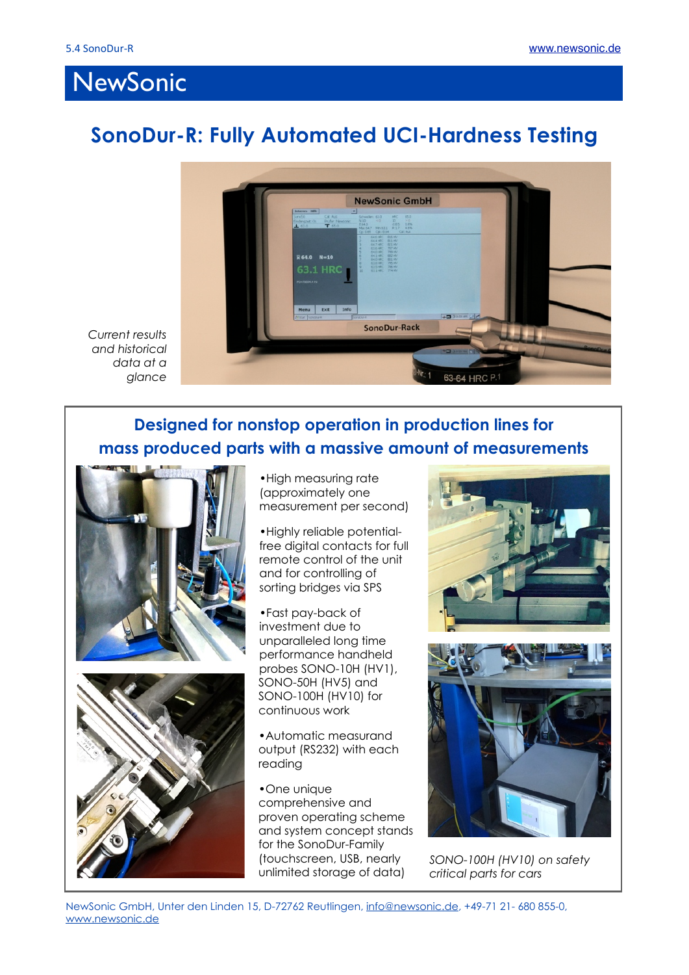## NewSonic

## **SonoDur-R: Fully Automated UCI-Hardness Testing**



*Current results and historical data at a glance*

## **Designed for nonstop operation in production lines for mass produced parts with a massive amount of measurements**



•High measuring rate (approximately one measurement per second)

•Highly reliable potentialfree digital contacts for full remote control of the unit and for controlling of sorting bridges via SPS

•Fast pay-back of investment due to unparalleled long time performance handheld probes SONO-10H (HV1), SONO-50H (HV5) and SONO-100H (HV10) for continuous work

•Automatic measurand output (RS232) with each reading

•One unique comprehensive and proven operating scheme and system concept stands for the SonoDur-Family (touchscreen, USB, nearly unlimited storage of data)





*SONO-100H (HV10) on safety critical parts for cars*

NewSonic GmbH, Unter den Linden 15, D-72762 Reutlingen, [info@newsonic.de](mailto:info@newsonic.de), +49-71 21- 680 855-0, [www.newsonic.de](http://www.newsonic.de)